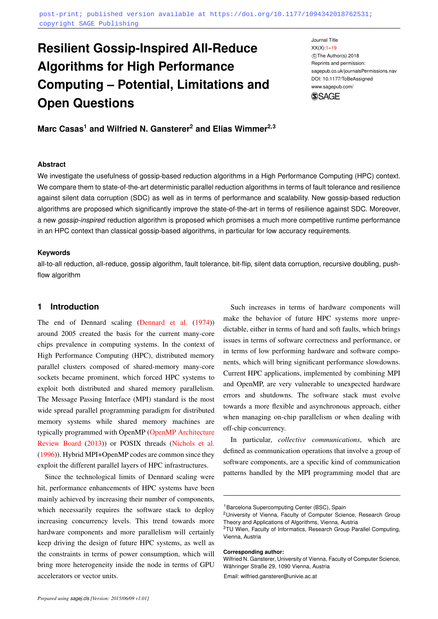# **Resilient Gossip-Inspired All-Reduce Algorithms for High Performance Computing – Potential, Limitations and Open Questions**

Journal Title XX(X)[:1–](#page-0-0)[19](#page-17-0) c The Author(s) 2018 Reprints and permission: sagepub.co.uk/journalsPermissions.nav DOI: 10.1177/ToBeAssigned www.sagepub.com/

**Marc Casas<sup>1</sup> and Wilfried N. Gansterer<sup>2</sup> and Elias Wimmer2,3**

#### <span id="page-0-0"></span>**Abstract**

We investigate the usefulness of gossip-based reduction algorithms in a High Performance Computing (HPC) context. We compare them to state-of-the-art deterministic parallel reduction algorithms in terms of fault tolerance and resilience against silent data corruption (SDC) as well as in terms of performance and scalability. New gossip-based reduction algorithms are proposed which significantly improve the state-of-the-art in terms of resilience against SDC. Moreover, a new *gossip-inspired* reduction algorithm is proposed which promises a much more competitive runtime performance in an HPC context than classical gossip-based algorithms, in particular for low accuracy requirements.

#### **Keywords**

all-to-all reduction, all-reduce, gossip algorithm, fault tolerance, bit-flip, silent data corruption, recursive doubling, pushflow algorithm

#### **1 Introduction**

The end of Dennard scaling [\(Dennard et al.](#page-17-1) [\(1974\)](#page-17-1)) around 2005 created the basis for the current many-core chips prevalence in computing systems. In the context of High Performance Computing (HPC), distributed memory parallel clusters composed of shared-memory many-core sockets became prominent, which forced HPC systems to exploit both distributed and shared memory parallelism. The Message Passing Interface (MPI) standard is the most wide spread parallel programming paradigm for distributed memory systems while shared memory machines are typically programmed with OpenMP [\(OpenMP Architecture](#page-18-0) [Review Board](#page-18-0) [\(2013\)](#page-18-0)) or POSIX threads [\(Nichols et al.](#page-18-1) [\(1996\)](#page-18-1)). Hybrid MPI+OpenMP codes are common since they exploit the different parallel layers of HPC infrastructures. **Press (2015/06/09/09 v1.01) Press (2015/09/09 v1.01) Control in the control in the control in the control in the control in the control in the control in the control in the control in the control in the control in the** 

Since the technological limits of Dennard scaling were hit, performance enhancements of HPC systems have been mainly achieved by increasing their number of components, which necessarily requires the software stack to deploy increasing concurrency levels. This trend towards more hardware components and more parallelism will certainly keep driving the design of future HPC systems, as well as the constraints in terms of power consumption, which will bring more heterogeneity inside the node in terms of GPU accelerators or vector units.

Such increases in terms of hardware components will make the behavior of future HPC systems more unpredictable, either in terms of hard and soft faults, which brings issues in terms of software correctness and performance, or in terms of low performing hardware and software components, which will bring significant performance slowdowns. Current HPC applications, implemented by combining MPI and OpenMP, are very vulnerable to unexpected hardware errors and shutdowns. The software stack must evolve towards a more flexible and asynchronous approach, either when managing on-chip parallelism or when dealing with off-chip concurrency.

In particular, *collective communications*, which are defined as communication operations that involve a group of software components, are a specific kind of communication patterns handled by the MPI programming model that are

#### **Corresponding author:**

Email: wilfried.gansterer@univie.ac.at

<sup>&</sup>lt;sup>1</sup> Barcelona Supercomputing Center (BSC), Spain

<sup>2</sup>University of Vienna, Faculty of Computer Science, Research Group Theory and Applications of Algorithms, Vienna, Austria

<sup>3</sup>TU Wien, Faculty of Informatics, Research Group Parallel Computing, Vienna, Austria

Wilfried N. Gansterer, University of Vienna, Faculty of Computer Science, Währinger Straße 29, 1090 Vienna, Austria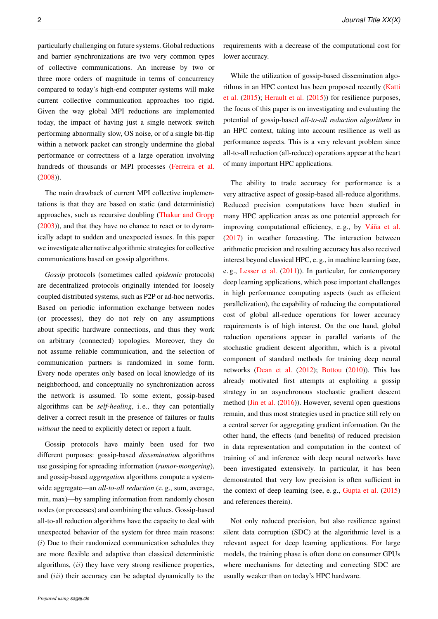particularly challenging on future systems. Global reductions and barrier synchronizations are two very common types of collective communications. An increase by two or three more orders of magnitude in terms of concurrency compared to today's high-end computer systems will make current collective communication approaches too rigid. Given the way global MPI reductions are implemented today, the impact of having just a single network switch performing abnormally slow, OS noise, or of a single bit-flip within a network packet can strongly undermine the global performance or correctness of a large operation involving hundreds of thousands or MPI processes [\(Ferreira et al.](#page-17-2) [\(2008\)](#page-17-2)).

The main drawback of current MPI collective implementations is that they are based on static (and deterministic) approaches, such as recursive doubling [\(Thakur and Gropp](#page-18-2) [\(2003\)](#page-18-2)), and that they have no chance to react or to dynamically adapt to sudden and unexpected issues. In this paper we investigate alternative algorithmic strategies for collective communications based on gossip algorithms.

*Gossip* protocols (sometimes called *epidemic* protocols) are decentralized protocols originally intended for loosely coupled distributed systems, such as P2P or ad-hoc networks. Based on periodic information exchange between nodes (or processes), they do not rely on any assumptions about specific hardware connections, and thus they work on arbitrary (connected) topologies. Moreover, they do not assume reliable communication, and the selection of communication partners is randomized in some form. Every node operates only based on local knowledge of its neighborhood, and conceptually no synchronization across the network is assumed. To some extent, gossip-based algorithms can be *self-healing*, i. e., they can potentially deliver a correct result in the presence of failures or faults *without* the need to explicitly detect or report a fault.

Gossip protocols have mainly been used for two different purposes: gossip-based *dissemination* algorithms use gossiping for spreading information (*rumor-mongering*), and gossip-based *aggregation* algorithms compute a systemwide aggregate—an *all-to-all reduction* (e. g., sum, average, min, max)—by sampling information from randomly chosen nodes (or processes) and combining the values. Gossip-based all-to-all reduction algorithms have the capacity to deal with unexpected behavior of the system for three main reasons:  $(i)$  Due to their randomized communication schedules they are more flexible and adaptive than classical deterministic algorithms,  $(ii)$  they have very strong resilience properties, and *(iii)* their accuracy can be adapted dynamically to the

requirements with a decrease of the computational cost for lower accuracy.

While the utilization of gossip-based dissemination algorithms in an HPC context has been proposed recently [\(Katti](#page-18-3) [et al.](#page-18-3) [\(2015\)](#page-18-3); [Herault et al.](#page-17-3) [\(2015\)](#page-17-3)) for resilience purposes, the focus of this paper is on investigating and evaluating the potential of gossip-based *all-to-all reduction algorithms* in an HPC context, taking into account resilience as well as performance aspects. This is a very relevant problem since all-to-all reduction (all-reduce) operations appear at the heart of many important HPC applications.

The ability to trade accuracy for performance is a very attractive aspect of gossip-based all-reduce algorithms. Reduced precision computations have been studied in many HPC application areas as one potential approach for improving computational efficiency, e.g., by Váňa et al. [\(2017\)](#page-18-4) in weather forecasting. The interaction between arithmetic precision and resulting accuracy has also received interest beyond classical HPC, e. g., in machine learning (see, e. g., [Lesser et al.](#page-18-5) [\(2011\)](#page-18-5)). In particular, for contemporary deep learning applications, which pose important challenges in high performance computing aspects (such as efficient parallelization), the capability of reducing the computational cost of global all-reduce operations for lower accuracy requirements is of high interest. On the one hand, global reduction operations appear in parallel variants of the stochastic gradient descent algorithm, which is a pivotal component of standard methods for training deep neural networks [\(Dean et al.](#page-17-4) [\(2012\)](#page-17-4); [Bottou](#page-17-5) [\(2010\)](#page-17-5)). This has already motivated first attempts at exploiting a gossip strategy in an asynchronous stochastic gradient descent method [\(Jin et al.](#page-18-6) [\(2016\)](#page-18-6)). However, several open questions remain, and thus most strategies used in practice still rely on a central server for aggregating gradient information. On the other hand, the effects (and benefits) of reduced precision in data representation and computation in the context of training of and inference with deep neural networks have been investigated extensively. In particular, it has been demonstrated that very low precision is often sufficient in the context of deep learning (see, e. g., [Gupta et al.](#page-17-6) [\(2015\)](#page-17-6) and references therein).

Not only reduced precision, but also resilience against silent data corruption (SDC) at the algorithmic level is a relevant aspect for deep learning applications. For large models, the training phase is often done on consumer GPUs where mechanisms for detecting and correcting SDC are usually weaker than on today's HPC hardware.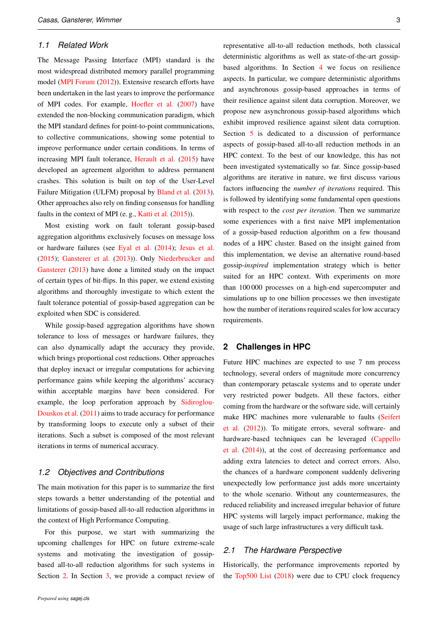#### *1.1 Related Work*

The Message Passing Interface (MPI) standard is the most widespread distributed memory parallel programming model [\(MPI Forum](#page-18-7) [\(2012\)](#page-18-7)). Extensive research efforts have been undertaken in the last years to improve the performance of MPI codes. For example, [Hoefler et al.](#page-17-7) [\(2007\)](#page-17-7) have extended the non-blocking communication paradigm, which the MPI standard defines for point-to-point communications, to collective communications, showing some potential to improve performance under certain conditions. In terms of increasing MPI fault tolerance, [Herault et al.](#page-17-3) [\(2015\)](#page-17-3) have developed an agreement algorithm to address permanent crashes. This solution is built on top of the User-Level Failure Mitigation (ULFM) proposal by [Bland et al.](#page-17-8) [\(2013\)](#page-17-8). Other approaches also rely on finding consensus for handling faults in the context of MPI (e.g., [Katti et al.](#page-18-3) [\(2015\)](#page-18-3)).

Most existing work on fault tolerant gossip-based aggregation algorithms exclusively focuses on message loss or hardware failures (see [Eyal et al.](#page-17-9) [\(2014\)](#page-17-9); [Jesus et al.](#page-18-8) [\(2015\)](#page-18-8); [Gansterer et al.](#page-17-10) [\(2013\)](#page-17-10)). Only [Niederbrucker and](#page-18-9) [Gansterer](#page-18-9) [\(2013\)](#page-18-9) have done a limited study on the impact of certain types of bit-flips. In this paper, we extend existing algorithms and thoroughly investigate to which extent the fault tolerance potential of gossip-based aggregation can be exploited when SDC is considered.

While gossip-based aggregation algorithms have shown tolerance to loss of messages or hardware failures, they can also dynamically adapt the accuracy they provide, which brings proportional cost reductions. Other approaches that deploy inexact or irregular computations for achieving performance gains while keeping the algorithms' accuracy within acceptable margins have been considered. For example, the loop perforation approach by [Sidiroglou-](#page-18-10)[Douskos et al.](#page-18-10) [\(2011\)](#page-18-10) aims to trade accuracy for performance by transforming loops to execute only a subset of their iterations. Such a subset is composed of the most relevant iterations in terms of numerical accuracy.

#### *1.2 Objectives and Contributions*

The main motivation for this paper is to summarize the first steps towards a better understanding of the potential and limitations of gossip-based all-to-all reduction algorithms in the context of High Performance Computing.

For this purpose, we start with summarizing the upcoming challenges for HPC on future extreme-scale systems and motivating the investigation of gossipbased all-to-all reduction algorithms for such systems in Section [2.](#page-2-0) In Section [3,](#page-3-0) we provide a compact review of representative all-to-all reduction methods, both classical deterministic algorithms as well as state-of-the-art gossipbased algorithms. In Section [4](#page-6-0) we focus on resilience aspects. In particular, we compare deterministic algorithms and asynchronous gossip-based approaches in terms of their resilience against silent data corruption. Moreover, we propose new asynchronous gossip-based algorithms which exhibit improved resilience against silent data corruption. Section [5](#page-10-0) is dedicated to a discussion of performance aspects of gossip-based all-to-all reduction methods in an HPC context. To the best of our knowledge, this has not been investigated systematically so far. Since gossip-based algorithms are iterative in nature, we first discuss various factors influencing the *number of iterations* required. This is followed by identifying some fundamental open questions with respect to the *cost per iteration*. Then we summarize some experiences with a first naive MPI implementation of a gossip-based reduction algorithm on a few thousand nodes of a HPC cluster. Based on the insight gained from this implementation, we devise an alternative round-based gossip-*inspired* implementation strategy which is better suited for an HPC context. With experiments on more than 100 000 processes on a high-end supercomputer and simulations up to one billion processes we then investigate how the number of iterations required scales for low accuracy requirements.

#### <span id="page-2-0"></span>**2 Challenges in HPC**

Future HPC machines are expected to use 7 nm process technology, several orders of magnitude more concurrency than contemporary petascale systems and to operate under very restricted power budgets. All these factors, either coming from the hardware or the software side, will certainly make HPC machines more vulenarable to faults [\(Seifert](#page-18-11) [et al.](#page-18-11) [\(2012\)](#page-18-11)). To mitigate errors, several software- and hardware-based techniques can be leveraged [\(Cappello](#page-17-11) [et al.](#page-17-11) [\(2014\)](#page-17-11)), at the cost of decreasing performance and adding extra latencies to detect and correct errors. Also, the chances of a hardware component suddenly delivering unexpectedly low performance just adds more uncertainty to the whole scenario. Without any countermeasures, the reduced reliability and increased irregular behavior of future HPC systems will largely impact performance, making the usage of such large infrastructures a very difficult task.

#### *2.1 The Hardware Perspective*

Historically, the performance improvements reported by the [Top500 List](#page-18-12) [\(2018\)](#page-18-12) were due to CPU clock frequency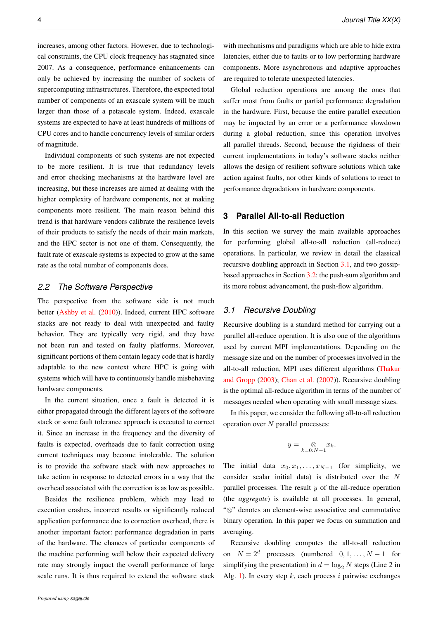increases, among other factors. However, due to technological constraints, the CPU clock frequency has stagnated since 2007. As a consequence, performance enhancements can only be achieved by increasing the number of sockets of supercomputing infrastructures. Therefore, the expected total number of components of an exascale system will be much larger than those of a petascale system. Indeed, exascale systems are expected to have at least hundreds of millions of CPU cores and to handle concurrency levels of similar orders of magnitude.

Individual components of such systems are not expected to be more resilient. It is true that redundancy levels and error checking mechanisms at the hardware level are increasing, but these increases are aimed at dealing with the higher complexity of hardware components, not at making components more resilient. The main reason behind this trend is that hardware vendors calibrate the resilience levels of their products to satisfy the needs of their main markets, and the HPC sector is not one of them. Consequently, the fault rate of exascale systems is expected to grow at the same rate as the total number of components does.

#### *2.2 The Software Perspective*

The perspective from the software side is not much better [\(Ashby et al.](#page-17-12) [\(2010\)](#page-17-12)). Indeed, current HPC software stacks are not ready to deal with unexpected and faulty behavior. They are typically very rigid, and they have not been run and tested on faulty platforms. Moreover, significant portions of them contain legacy code that is hardly adaptable to the new context where HPC is going with systems which will have to continuously handle misbehaving hardware components.

In the current situation, once a fault is detected it is either propagated through the different layers of the software stack or some fault tolerance approach is executed to correct it. Since an increase in the frequency and the diversity of faults is expected, overheads due to fault correction using current techniques may become intolerable. The solution is to provide the software stack with new approaches to take action in response to detected errors in a way that the overhead associated with the correction is as low as possible.

Besides the resilience problem, which may lead to execution crashes, incorrect results or significantly reduced application performance due to correction overhead, there is another important factor: performance degradation in parts of the hardware. The chances of particular components of the machine performing well below their expected delivery rate may strongly impact the overall performance of large scale runs. It is thus required to extend the software stack

with mechanisms and paradigms which are able to hide extra latencies, either due to faults or to low performing hardware components. More asynchronous and adaptive approaches are required to tolerate unexpected latencies.

Global reduction operations are among the ones that suffer most from faults or partial performance degradation in the hardware. First, because the entire parallel execution may be impacted by an error or a performance slowdown during a global reduction, since this operation involves all parallel threads. Second, because the rigidness of their current implementations in today's software stacks neither allows the design of resilient software solutions which take action against faults, nor other kinds of solutions to react to performance degradations in hardware components.

#### <span id="page-3-0"></span>**3 Parallel All-to-all Reduction**

In this section we survey the main available approaches for performing global all-to-all reduction (all-reduce) operations. In particular, we review in detail the classical recursive doubling approach in Section [3.1,](#page-3-1) and two gossipbased approaches in Section [3.2:](#page-4-0) the push-sum algorithm and its more robust advancement, the push-flow algorithm.

#### <span id="page-3-1"></span>*3.1 Recursive Doubling*

Recursive doubling is a standard method for carrying out a parallel all-reduce operation. It is also one of the algorithms used by current MPI implementations. Depending on the message size and on the number of processes involved in the all-to-all reduction, MPI uses different algorithms [\(Thakur](#page-18-2) [and Gropp](#page-18-2) [\(2003\)](#page-18-2); [Chan et al.](#page-17-13) [\(2007\)](#page-17-13)). Recursive doubling is the optimal all-reduce algorithm in terms of the number of messages needed when operating with small message sizes.

In this paper, we consider the following all-to-all reduction operation over  $N$  parallel processes:

$$
y=\underset{k=0:N-1}{\otimes}x_k.
$$

The initial data  $x_0, x_1, \ldots, x_{N-1}$  (for simplicity, we consider scalar initial data) is distributed over the N parallel processes. The result  $y$  of the all-reduce operation (the *aggregate*) is available at all processes. In general, "⊗" denotes an element-wise associative and commutative binary operation. In this paper we focus on summation and averaging.

Recursive doubling computes the all-to-all reduction on  $N = 2^d$  processes (numbered  $0, 1, \ldots, N - 1$  for simplifying the presentation) in  $d = \log_2 N$  steps (Line 2 in Alg. [1\)](#page-4-1). In every step  $k$ , each process i pairwise exchanges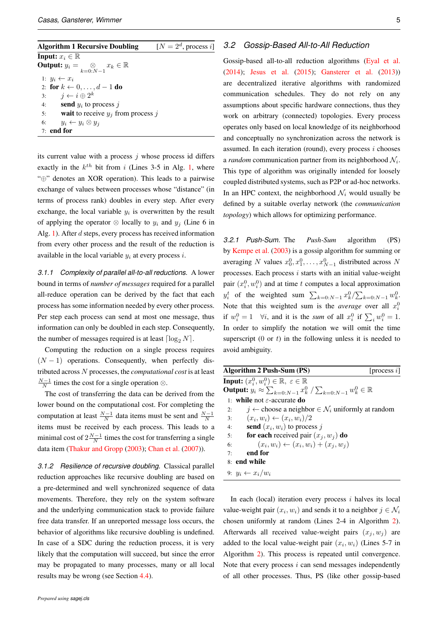<span id="page-4-1"></span>Algorithm 1 Recursive Doubling  $[N = 2^d,$  process i]

**Input:**  $x_i \in \mathbb{R}$ **Output:**  $y_i = \bigotimes_{k=0:N-1} x_k \in \mathbb{R}$ 1:  $y_i \leftarrow x_i$ 2: for  $k \leftarrow 0, \ldots, d - 1$  do<br>3:  $i \leftarrow i \oplus 2^k$ 3:  $j \leftarrow i \oplus 2^k$ 4: **send**  $y_i$  to process j 5: wait to receive  $y_j$  from process j 6:  $y_i \leftarrow y_i \otimes y_j$ 7: end for

its current value with a process  $j$  whose process id differs exactly in the  $k^{th}$  bit from i (Lines 3-5 in Alg. [1,](#page-4-1) where "⊕" denotes an XOR operation). This leads to a pairwise exchange of values between processes whose "distance" (in terms of process rank) doubles in every step. After every exchange, the local variable  $y_i$  is overwritten by the result of applying the operator  $\otimes$  locally to  $y_i$  and  $y_j$  (Line 6 in Alg. [1\)](#page-4-1). After d steps, every process has received information from every other process and the result of the reduction is available in the local variable  $y_i$  at every process i.

<span id="page-4-3"></span>*3.1.1 Complexity of parallel all-to-all reductions.* A lower bound in terms of *number of messages* required for a parallel all-reduce operation can be derived by the fact that each process has some information needed by every other process. Per step each process can send at most one message, thus information can only be doubled in each step. Consequently, the number of messages required is at least  $\lceil \log_2 N \rceil$ .

Computing the reduction on a single process requires  $(N - 1)$  operations. Consequently, when perfectly distributed across N processes, the *computational cost* is at least  $\frac{N-1}{N}$  times the cost for a single operation  $\otimes$ .

The cost of transferring the data can be derived from the lower bound on the computational cost. For completing the computation at least  $\frac{N-1}{N}$  data items must be sent and  $\frac{N-1}{N}$ items must be received by each process. This leads to a minimal cost of  $2\frac{N-1}{N}$  times the cost for transferring a single data item [\(Thakur and Gropp](#page-18-2) [\(2003\)](#page-18-2); [Chan et al.](#page-17-13) [\(2007\)](#page-17-13)).

*3.1.2 Resilience of recursive doubling.* Classical parallel reduction approaches like recursive doubling are based on a pre-determined and well synchronized sequence of data movements. Therefore, they rely on the system software and the underlying communication stack to provide failure free data transfer. If an unreported message loss occurs, the behavior of algorithms like recursive doubling is undefined. In case of a SDC during the reduction process, it is very likely that the computation will succeed, but since the error may be propagated to many processes, many or all local results may be wrong (see Section [4.4\)](#page-8-0).

#### <span id="page-4-0"></span>*3.2 Gossip-Based All-to-All Reduction*

Gossip-based all-to-all reduction algorithms [\(Eyal et al.](#page-17-9) [\(2014\)](#page-17-9); [Jesus et al.](#page-18-8) [\(2015\)](#page-18-8); [Gansterer et al.](#page-17-10) [\(2013\)](#page-17-10)) are decentralized iterative algorithms with randomized communication schedules. They do not rely on any assumptions about specific hardware connections, thus they work on arbitrary (connected) topologies. Every process operates only based on local knowledge of its neighborhood and conceptually no synchronization across the network is assumed. In each iteration (round), every process  $i$  chooses a *random* communication partner from its neighborhood  $\mathcal{N}_i$ . This type of algorithm was originally intended for loosely coupled distributed systems, such as P2P or ad-hoc networks. In an HPC context, the neighborhood  $\mathcal{N}_i$  would usually be defined by a suitable overlay network (the *communication topology*) which allows for optimizing performance.

*3.2.1 Push-Sum.* The *Push-Sum* algorithm (PS) by [Kempe et al.](#page-18-13) [\(2003\)](#page-18-13) is a gossip algorithm for summing or averaging N values  $x_0^0, x_1^0, \ldots, x_{N-1}^0$  distributed across N processes. Each process  $i$  starts with an initial value-weight pair  $(x_i^0, w_i^0)$  and at time t computes a local approximation  $y_i^t$  of the weighted sum  $\sum_{k=0:N-1} x_k^0 / \sum_{k=0:N-1} w_k^0$ . Note that this weighted sum is the *average* over all  $x_i^0$ if  $w_i^0 = 1$   $\forall i$ , and it is the *sum* of all  $x_i^0$  if  $\sum_i w_i^0 = 1$ . In order to simplify the notation we will omit the time superscript  $(0 \text{ or } t)$  in the following unless it is needed to avoid ambiguity.

<span id="page-4-2"></span>

| Algorithm 2 Push-Sum (PS)                                                               | [process $i$ ] |
|-----------------------------------------------------------------------------------------|----------------|
| <b>Input:</b> $(x_i^0, w_i^0) \in \mathbb{R}, \ \varepsilon \in \mathbb{R}$             |                |
| <b>Output:</b> $y_i \approx \sum_{k=0:N-1} x_k^0 / \sum_{k=0:N-1} w_k^0 \in \mathbb{R}$ |                |
| 1: while not $\varepsilon$ -accurate do                                                 |                |
| $j \leftarrow$ choose a neighbor $\in \mathcal{N}_i$ uniformly at random<br>2:          |                |
| $(x_i, w_i) \leftarrow (x_i, w_i)/2$<br>3:                                              |                |
| send $(x_i, w_i)$ to process j<br>4:                                                    |                |
| <b>for each</b> received pair $(x_i, w_i)$ <b>do</b><br>5:                              |                |
| $(x_i, w_i) \leftarrow (x_i, w_i) + (x_i, w_i)$<br>6:                                   |                |
| end for<br>7:                                                                           |                |
| 8: end while                                                                            |                |
| 9: $y_i \leftarrow x_i/w_i$                                                             |                |

In each (local) iteration every process  $i$  halves its local value-weight pair  $(x_i, w_i)$  and sends it to a neighbor  $j \in \mathcal{N}_i$ chosen uniformly at random (Lines 2-4 in Algorithm [2\)](#page-4-2). Afterwards all received value-weight pairs  $(x_i, w_j)$  are added to the local value-weight pair  $(x_i, w_i)$  (Lines 5-7 in Algorithm [2\)](#page-4-2). This process is repeated until convergence. Note that every process  $i$  can send messages independently of all other processes. Thus, PS (like other gossip-based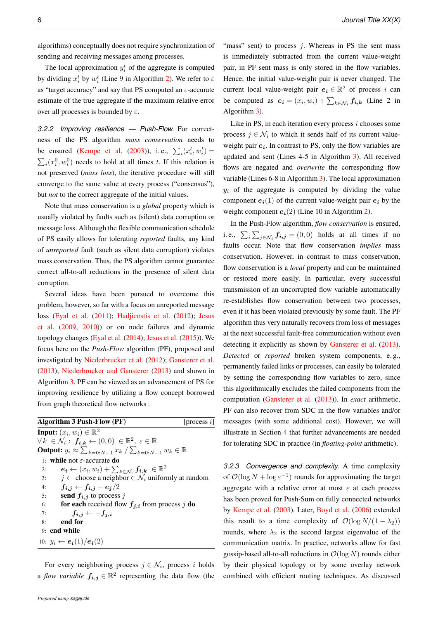algorithms) conceptually does not require synchronization of sending and receiving messages among processes.

The local approximation  $y_i^t$  of the aggregate is computed by dividing  $x_i^t$  by  $w_i^t$  (Line 9 in Algorithm [2\)](#page-4-2). We refer to  $\varepsilon$ as "target accuracy" and say that PS computed an  $\varepsilon$ -accurate estimate of the true aggregate if the maximum relative error over all processes is bounded by  $\varepsilon$ .

*3.2.2 Improving resilience — Push-Flow.* For correctness of the PS algorithm *mass conservation* needs to be ensured [\(Kempe et al.](#page-18-13) [\(2003\)](#page-18-13)), i.e.,  $\sum_i (x_i^t, w_i^t) =$  $\sum_i (x_i^0, w_i^0)$  needs to hold at all times t. If this relation is not preserved (*mass loss*), the iterative procedure will still converge to the same value at every process ("consensus"), but *not* to the correct aggregate of the initial values.

Note that mass conservation is a *global* property which is usually violated by faults such as (silent) data corruption or message loss. Although the flexible communication schedule of PS easily allows for tolerating *reported* faults, any kind of *unreported* fault (such as silent data corruption) violates mass conservation. Thus, the PS algorithm cannot guarantee correct all-to-all reductions in the presence of silent data corruption.

Several ideas have been pursued to overcome this problem, however, so far with a focus on unreported message loss [\(Eyal et al.](#page-17-14) [\(2011\)](#page-17-14); [Hadjicostis et al.](#page-17-15) [\(2012\)](#page-17-15); [Jesus](#page-17-16) [et al.](#page-17-16) [\(2009,](#page-17-16) [2010\)](#page-18-14)) or on node failures and dynamic topology changes [\(Eyal et al.](#page-17-9) [\(2014\)](#page-17-9); [Jesus et al.](#page-18-8) [\(2015\)](#page-18-8)). We focus here on the *Push-Flow* algorithm (PF), proposed and investigated by [Niederbrucker et al.](#page-18-15) [\(2012\)](#page-18-15); [Gansterer et al.](#page-17-10) [\(2013\)](#page-17-10); [Niederbrucker and Gansterer](#page-18-9) [\(2013\)](#page-18-9) and shown in Algorithm [3.](#page-5-0) PF can be viewed as an advancement of PS for improving resilience by utilizing a flow concept borrowed from graph theoretical flow networks .

<span id="page-5-0"></span> $\overline{Algorithm 3}$  Push-Flow (PF) [process i] **Input:**  $(x_i, w_i) \in \mathbb{R}^2$  $\forall k\ \in \mathcal{N}_i: \ \boldsymbol{f_{i,k}} \leftarrow (0,0) \ \in \mathbb{R}^2, \ \varepsilon \in \mathbb{R}$ **Output:**  $y_i \approx \sum_{k=0:N-1} x_k / \sum_{k=0:N-1} w_k \in \mathbb{R}$ 1: while not  $\varepsilon$ -accurate do 2:  $\boldsymbol{e_i} \leftarrow (x_i, w_i) + \sum_{k \in \mathcal{N}_i} \boldsymbol{f_{i,k}} \in \mathbb{R}^2$ 3: *j* ← choose a neighbor  $\in \mathcal{N}_i$  uniformly at random 4:  $f_{i,j} \leftarrow f_{i,j} - e_j/2$ <br>5: **send**  $f_{i,j}$  to process send  $f_{i,j}$  to process j 6: for each received flow  $f_{j,i}$  from process j do 7:  $f_{i,j} \leftarrow -f_{j,i}$ <br>8: end for end for 9: end while 10:  $y_i \leftarrow e_i(1)/e_i(2)$ 

For every neighboring process  $j \in \mathcal{N}_i$ , process i holds a *flow variable*  $f_{i,j} \in \mathbb{R}^2$  representing the data flow (the "mass" sent) to process  $j$ . Whereas in PS the sent mass is immediately subtracted from the current value-weight pair, in PF sent mass is only stored in the flow variables. Hence, the initial value-weight pair is never changed. The current local value-weight pair  $e_i \in \mathbb{R}^2$  of process i can be computed as  $e_i = (x_i, w_i) + \sum_{k \in \mathcal{N}_i} f_{i,k}$  (Line 2 in Algorithm [3\)](#page-5-0).

Like in PS, in each iteration every process i chooses some process  $j \in \mathcal{N}_i$  to which it sends half of its current valueweight pair  $e_i$ . In contrast to PS, only the flow variables are updated and sent (Lines 4-5 in Algorithm [3\)](#page-5-0). All received flows are negated and *overwrite* the corresponding flow variable (Lines 6-8 in Algorithm [3\)](#page-5-0). The local approximation  $y_i$  of the aggregate is computed by dividing the value component  $e_i(1)$  of the current value-weight pair  $e_i$  by the weight component  $e_i(2)$  $e_i(2)$  (Line 10 in Algorithm 2).

In the Push-Flow algorithm, *flow conservation* is ensured, i.e.,  $\sum_i \sum_{j \in \mathcal{N}_i} f_{i,j} = (0, 0)$  holds at all times if no faults occur. Note that flow conservation *implies* mass conservation. However, in contrast to mass conservation, flow conservation is a *local* property and can be maintained or restored more easily. In particular, every successful transmission of an uncorrupted flow variable automatically re-establishes flow conservation between two processes, even if it has been violated previously by some fault. The PF algorithm thus very naturally recovers from loss of messages at the next successful fault-free communication without even detecting it explicitly as shown by [Gansterer et al.](#page-17-10) [\(2013\)](#page-17-10). *Detected* or *reported* broken system components, e. g., permanently failed links or processes, can easily be tolerated by setting the corresponding flow variables to zero, since this algorithmically excludes the failed components from the computation [\(Gansterer et al.](#page-17-10) [\(2013\)](#page-17-10)). In *exact* arithmetic, PF can also recover from SDC in the flow variables and/or messages (with some additional cost). However, we will illustrate in Section [4](#page-6-0) that further advancements are needed for tolerating SDC in practice (in *floating-point* arithmetic).

*3.2.3 Convergence and complexity.* A time complexity of  $\mathcal{O}(\log N + \log \varepsilon^{-1})$  rounds for approximating the target aggregate with a relative error at most  $\varepsilon$  at each process has been proved for Push-Sum on fully connected networks by [Kempe et al.](#page-18-13) [\(2003\)](#page-18-13). Later, [Boyd et al.](#page-17-17) [\(2006\)](#page-17-17) extended this result to a time complexity of  $\mathcal{O}(\log N/(1 - \lambda_2))$ rounds, where  $\lambda_2$  is the second largest eigenvalue of the communication matrix. In practice, networks allow for fast gossip-based all-to-all reductions in  $\mathcal{O}(\log N)$  rounds either by their physical topology or by some overlay network combined with efficient routing techniques. As discussed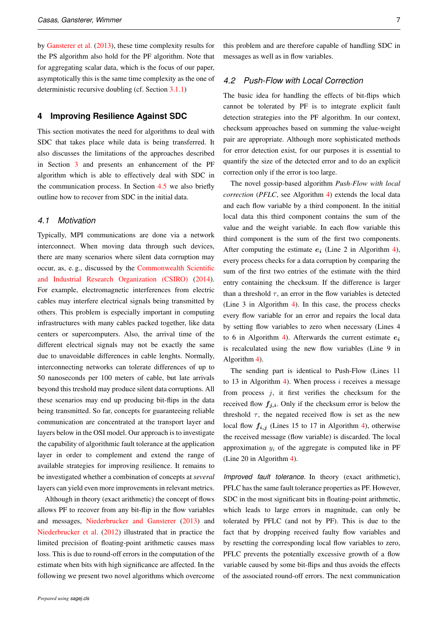by [Gansterer et al.](#page-17-10) [\(2013\)](#page-17-10), these time complexity results for the PS algorithm also hold for the PF algorithm. Note that for aggregating scalar data, which is the focus of our paper, asymptotically this is the same time complexity as the one of deterministic recursive doubling (cf. Section [3.1.1\)](#page-4-3)

# <span id="page-6-0"></span>**4 Improving Resilience Against SDC**

This section motivates the need for algorithms to deal with SDC that takes place while data is being transferred. It also discusses the limitations of the approaches described in Section [3](#page-3-0) and presents an enhancement of the PF algorithm which is able to effectively deal with SDC in the communication process. In Section [4.5](#page-9-0) we also briefly outline how to recover from SDC in the initial data.

#### *4.1 Motivation*

Typically, MPI communications are done via a network interconnect. When moving data through such devices, there are many scenarios where silent data corruption may occur, as, e. g., discussed by the [Commonwealth Scientific](#page-17-18) [and Industrial Research Organization \(CSIRO\)](#page-17-18) [\(2014\)](#page-17-18). For example, electromagnetic interferences from electric cables may interfere electrical signals being transmitted by others. This problem is especially important in computing infrastructures with many cables packed together, like data centers or supercomputers. Also, the arrival time of the different electrical signals may not be exactly the same due to unavoidable differences in cable lenghts. Normally, interconnecting networks can tolerate differences of up to 50 nanoseconds per 100 meters of cable, but late arrivals beyond this treshold may produce silent data corruptions. All these scenarios may end up producing bit-flips in the data being transmitted. So far, concepts for guaranteeing reliable communication are concentrated at the transport layer and layers below in the OSI model. Our approach is to investigate the capability of algorithmic fault tolerance at the application layer in order to complement and extend the range of available strategies for improving resilience. It remains to be investigated whether a combination of concepts at *several* layers can yield even more improvements in relevant metrics.

Although in theory (exact arithmetic) the concept of flows allows PF to recover from any bit-flip in the flow variables and messages, [Niederbrucker and Gansterer](#page-18-9) [\(2013\)](#page-18-9) and [Niederbrucker et al.](#page-18-15) [\(2012\)](#page-18-15) illustrated that in practice the limited precision of floating-point arithmetic causes mass loss. This is due to round-off errors in the computation of the estimate when bits with high significance are affected. In the following we present two novel algorithms which overcome

this problem and are therefore capable of handling SDC in messages as well as in flow variables.

#### <span id="page-6-1"></span>*4.2 Push-Flow with Local Correction*

The basic idea for handling the effects of bit-flips which cannot be tolerated by PF is to integrate explicit fault detection strategies into the PF algorithm. In our context, checksum approaches based on summing the value-weight pair are appropriate. Although more sophisticated methods for error detection exist, for our purposes it is essential to quantify the size of the detected error and to do an explicit correction only if the error is too large.

The novel gossip-based algorithm *Push-Flow with local correction* (*PFLC*, see Algorithm [4\)](#page-7-0) extends the local data and each flow variable by a third component. In the initial local data this third component contains the sum of the value and the weight variable. In each flow variable this third component is the sum of the first two components. After computing the estimate  $e_i$  (Line 2 in Algorithm [4\)](#page-7-0), every process checks for a data corruption by comparing the sum of the first two entries of the estimate with the third entry containing the checksum. If the difference is larger than a threshold  $\tau$ , an error in the flow variables is detected (Line 3 in Algorithm [4\)](#page-7-0). In this case, the process checks every flow variable for an error and repairs the local data by setting flow variables to zero when necessary (Lines 4 to 6 in Algorithm [4\)](#page-7-0). Afterwards the current estimate  $e_i$ is recalculated using the new flow variables (Line 9 in Algorithm [4\)](#page-7-0).

The sending part is identical to Push-Flow (Lines 11 to 13 in Algorithm [4\)](#page-7-0). When process  $i$  receives a message from process  $j$ , it first verifies the checksum for the received flow  $f_{i,i}$ . Only if the checksum error is below the threshold  $\tau$ , the negated received flow is set as the new local flow  $f_{i,j}$  (Lines 15 to 17 in Algorithm [4\)](#page-7-0), otherwise the received message (flow variable) is discarded. The local approximation  $y_i$  of the aggregate is computed like in PF (Line 20 in Algorithm [4\)](#page-7-0).

*Improved fault tolerance.* In theory (exact arithmetic), PFLC has the same fault tolerance properties as PF. However, SDC in the most significant bits in floating-point arithmetic, which leads to large errors in magnitude, can only be tolerated by PFLC (and not by PF). This is due to the fact that by dropping received faulty flow variables and by resetting the corresponding local flow variables to zero, PFLC prevents the potentially excessive growth of a flow variable caused by some bit-flips and thus avoids the effects of the associated round-off errors. The next communication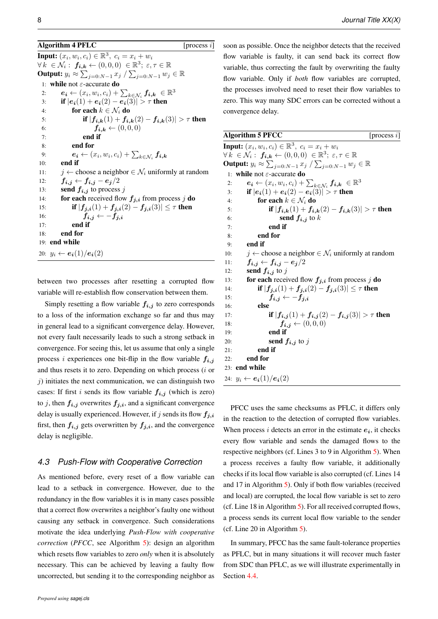20:  $y_i \leftarrow e_i(1)/e_i(2)$ 

<span id="page-7-0"></span> $\overline{Algorithm 4 PFLC}$  [process i] **Input:**  $(x_i, w_i, c_i) \in \mathbb{R}^3$ ,  $c_i = x_i + w_i$  $\forall \overline{k} \in \mathcal{N}_i : f_{i,k} \leftarrow (0,0,0) \in \mathbb{R}^3; \ \varepsilon, \tau \in \mathbb{R}$ **Output:**  $y_i \approx \sum_{j=0:N-1} x_j / \sum_{j=0:N-1} w_j \in \mathbb{R}$ 1: while not  $\varepsilon$ -accurate do 2:  $e_i \leftarrow (x_i, w_i, c_i) + \sum_{k \in \mathcal{N}_i} f_{i,k} \in \mathbb{R}^3$ 3: **if**  $|e_i(1) + e_i(2) - e_i(3)| > \tau$  then<br>4: **for each**  $k \in N$ : **do** 4: for each  $k \in \mathcal{N}_i$  do<br>5: if  $|f_{i,h}(1) + f_i|$ 5: **if**  $|f_{i,k}(1) + f_{i,k}(2) - f_{i,k}(3)| > \tau$  then<br>6:  $f_{i,k} \leftarrow (0,0,0)$ 6:  $f_{i,k} \leftarrow (0,0,0)$ <br>7. end if end if 8: end for

9:  $e_i \leftarrow (x_i, w_i, c_i) + \sum_{k \in \mathcal{N}_i} f_{i,k}$ 10: end if 11:  $j \leftarrow \text{choose a neighbor} \in \mathcal{N}_i$  uniformly at random<br>12:  $f_{i,j} \leftarrow f_{i,j} - e_j/2$ 12:  $f_{i,j} \leftarrow f_{i,j} - e_j/2$ <br>13: **send**  $f_{i,j}$  to process send  $f_{i,j}$  to process j 14: **for each** received flow  $f_{j,i}$  from process j **do** 15: **if**  $|f_{j,i}(1) + f_{j,i}(2) - f_{j,i}(3)| \le \tau$  then<br>16:  $f_{i,i} \leftarrow -f_{i,i}$ 16:  $f_{i,j} \leftarrow -f_{j,i}$ <br>17: **end if** end if 18: end for 19: end while

between two processes after resetting a corrupted flow variable will re-establish flow conservation between them.

Simply resetting a flow variable  $f_{i,j}$  to zero corresponds to a loss of the information exchange so far and thus may in general lead to a significant convergence delay. However, not every fault necessarily leads to such a strong setback in convergence. For seeing this, let us assume that only a single process i experiences one bit-flip in the flow variable  $f_{i,j}$ and thus resets it to zero. Depending on which process  $(i$  or  $j$ ) initiates the next communication, we can distinguish two cases: If first i sends its flow variable  $f_{i,j}$  (which is zero) to j, then  $f_{i,j}$  overwrites  $f_{j,i}$ , and a significant convergence delay is usually experienced. However, if j sends its flow  $f_{i,i}$ first, then  $f_{i,j}$  gets overwritten by  $f_{j,i}$ , and the convergence delay is negligible.

#### *4.3 Push-Flow with Cooperative Correction*

As mentioned before, every reset of a flow variable can lead to a setback in convergence. However, due to the redundancy in the flow variables it is in many cases possible that a correct flow overwrites a neighbor's faulty one without causing any setback in convergence. Such considerations motivate the idea underlying *Push-Flow with cooperative correction* (*PFCC*, see Algorithm [5\)](#page-7-1): design an algorithm which resets flow variables to zero *only* when it is absolutely necessary. This can be achieved by leaving a faulty flow uncorrected, but sending it to the corresponding neighbor as soon as possible. Once the neighbor detects that the received flow variable is faulty, it can send back its correct flow variable, thus correcting the fault by overwriting the faulty flow variable. Only if *both* flow variables are corrupted, the processes involved need to reset their flow variables to zero. This way many SDC errors can be corrected without a convergence delay.

<span id="page-7-1"></span>Algorithm 5 PFCC [process i] **Input:**  $(x_i, w_i, c_i) \in \mathbb{R}^3$ ,  $c_i = x_i + w_i$  $\forall k \in \mathcal{N}_i: f_{i,k} \leftarrow (0,0,0) \in \mathbb{R}^3; \; \varepsilon, \tau \in \mathbb{R}$ **Output:**  $y_i \approx \sum_{j=0:N-1} x_j / \sum_{j=0:N-1} w_j \in \mathbb{R}$ 1: while not  $\varepsilon$ -accurate do 2:  $e_i \leftarrow (x_i, w_i, c_i) + \sum_{k \in \mathcal{N}_i} f_{i,k} \in \mathbb{R}^3$ 3: **if**  $|e_i(1) + e_i(2) - e_i(3)| > \tau$  then<br>4: **for each**  $k \in \mathcal{N}_i$  **do** 4: for each  $k \in \mathcal{N}_i$  do<br>5: if  $|f_{i,k}(1) + f_{i,k}|$ 5: **if**  $|f_{i,k}(1) + f_{i,k}(2) - f_{i,k}(3)| > \tau$  then<br>6: **send**  $f_{i,j}$  to  $k$ send  $f_{i,j}$  to k 7: end if 8: end for  $9:$  end if 10:  $j \leftarrow$  choose a neighbor ∈  $\mathcal{N}_i$  uniformly at random<br>11:  $\mathbf{f}_{i,j} \leftarrow \mathbf{f}_{i,j} - \mathbf{e}_j/2$ 11:  $f_{i,j} \leftarrow f_{i,j} - e_j/2$ <br>12: **send**  $f_{i,j}$  to *i* send  $f_{i,j}$  to j 13: **for each** received flow  $f_{i,i}$  from process j **do** 14: **if**  $|f_{j,i}(1) + f_{j,i}(2) - f_{j,i}(3)| \le \tau$  then<br>15:  $f_{i,i} \leftarrow -f_{i,i}$ 15:  $f_{i,j} \leftarrow -f_{j,i}$ <br>16: **else** else 17: **if**  $|f_{i,j}(1) + f_{i,j}(2) - f_{i,j}(3)| > \tau$  then<br>
18: **f**<sub>i</sub>,j  $\leftarrow$  (0, 0, 0) 18:  $f_{i,j} \leftarrow (0, 0, 0)$ <br>19: **end if** end if 20: **send**  $f_{i,j}$  to j 21: end if 22: end for 23: end while 24:  $y_i \leftarrow e_i(1)/e_i(2)$ 

PFCC uses the same checksums as PFLC, it differs only in the reaction to the detection of corrupted flow variables. When process i detects an error in the estimate  $e_i$ , it checks every flow variable and sends the damaged flows to the respective neighbors (cf. Lines 3 to 9 in Algorithm [5\)](#page-7-1). When a process receives a faulty flow variable, it additionally checks if its local flow variable is also corrupted (cf. Lines 14 and 17 in Algorithm [5\)](#page-7-1). Only if both flow variables (received and local) are corrupted, the local flow variable is set to zero (cf. Line 18 in Algorithm [5\)](#page-7-1). For all received corrupted flows, a process sends its current local flow variable to the sender (cf. Line 20 in Algorithm [5\)](#page-7-1).

In summary, PFCC has the same fault-tolerance properties as PFLC, but in many situations it will recover much faster from SDC than PFLC, as we will illustrate experimentally in Section [4.4.](#page-8-0)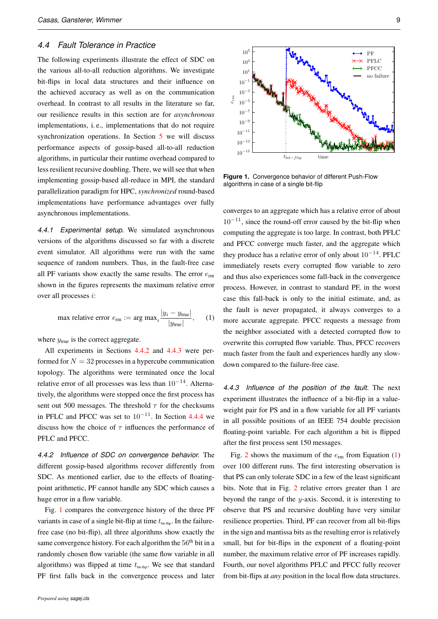#### <span id="page-8-0"></span>*4.4 Fault Tolerance in Practice*

The following experiments illustrate the effect of SDC on the various all-to-all reduction algorithms. We investigate bit-flips in local data structures and their influence on the achieved accuracy as well as on the communication overhead. In contrast to all results in the literature so far, our resilience results in this section are for *asynchronous* implementations, i. e., implementations that do not require synchronization operations. In Section [5](#page-10-0) we will discuss performance aspects of gossip-based all-to-all reduction algorithms, in particular their runtime overhead compared to less resilient recursive doubling. There, we will see that when implementing gossip-based all-reduce in MPI, the standard parallelization paradigm for HPC, *synchronized* round-based implementations have performance advantages over fully asynchronous implementations.

*4.4.1 Experimental setup.* We simulated asynchronous versions of the algorithms discussed so far with a discrete event simulator. All algorithms were run with the same sequence of random numbers. Thus, in the fault-free case all PF variants show exactly the same results. The error  $e_{rm}$ shown in the figures represents the maximum relative error over all processes i:

<span id="page-8-4"></span>max relative error 
$$
e_{\text{rm}} := \arg \max_i \frac{|y_i - y_{\text{true}}|}{|y_{\text{true}}|},
$$
 (1)

where  $y_{true}$  is the correct aggregate.

All experiments in Sections [4.4.2](#page-8-1) and [4.4.3](#page-8-2) were performed for  $N = 32$  processes in a hypercube communication topology. The algorithms were terminated once the local relative error of all processes was less than 10−<sup>14</sup>. Alternatively, the algorithms were stopped once the first process has sent out 500 messages. The threshold  $\tau$  for the checksums in PFLC and PFCC was set to  $10^{-11}$ . In Section [4.4.4](#page-9-1) we discuss how the choice of  $\tau$  influences the performance of PFLC and PFCC.

<span id="page-8-1"></span>*4.4.2 Influence of SDC on convergence behavior.* The different gossip-based algorithms recover differently from SDC. As mentioned earlier, due to the effects of floatingpoint arithmetic, PF cannot handle any SDC which causes a huge error in a flow variable.

Fig. [1](#page-8-3) compares the convergence history of the three PF variants in case of a single bit-flip at time  $t_{\text{bit-flip}}$ . In the failurefree case (no bit-flip), all three algorithms show exactly the same convergence history. For each algorithm the  $56<sup>th</sup>$  bit in a randomly chosen flow variable (the same flow variable in all algorithms) was flipped at time  $t_{\text{bit-flip}}$ . We see that standard PF first falls back in the convergence process and later

<span id="page-8-3"></span>

**Figure 1.** Convergence behavior of different Push-Flow algorithms in case of a single bit-flip

converges to an aggregate which has a relative error of about  $10^{-11}$ , since the round-off error caused by the bit-flip when computing the aggregate is too large. In contrast, both PFLC and PFCC converge much faster, and the aggregate which they produce has a relative error of only about  $10^{-14}$ . PFLC immediately resets every corrupted flow variable to zero and thus also experiences some fall-back in the convergence process. However, in contrast to standard PF, in the worst case this fall-back is only to the initial estimate, and, as the fault is never propagated, it always converges to a more accurate aggregate. PFCC requests a message from the neighbor associated with a detected corrupted flow to overwrite this corrupted flow variable. Thus, PFCC recovers much faster from the fault and experiences hardly any slowdown compared to the failure-free case.

<span id="page-8-2"></span>*4.4.3 Influence of the position of the fault.* The next experiment illustrates the influence of a bit-flip in a valueweight pair for PS and in a flow variable for all PF variants in all possible positions of an IEEE 754 double precision floating-point variable. For each algorithm a bit is flipped after the first process sent 150 messages.

Fig. [2](#page-9-2) shows the maximum of the  $e_{\rm rm}$  from Equation [\(1\)](#page-8-4) over 100 different runs. The first interesting observation is that PS can only tolerate SDC in a few of the least significant bits. Note that in Fig. [2](#page-9-2) relative errors greater than 1 are beyond the range of the  $y$ -axis. Second, it is interesting to observe that PS and recursive doubling have very similar resilience properties. Third, PF can recover from all bit-flips in the sign and mantissa bits as the resulting error is relatively small, but for bit-flips in the exponent of a floating-point number, the maximum relative error of PF increases rapidly. Fourth, our novel algorithms PFLC and PFCC fully recover from bit-flips at *any* position in the local flow data structures.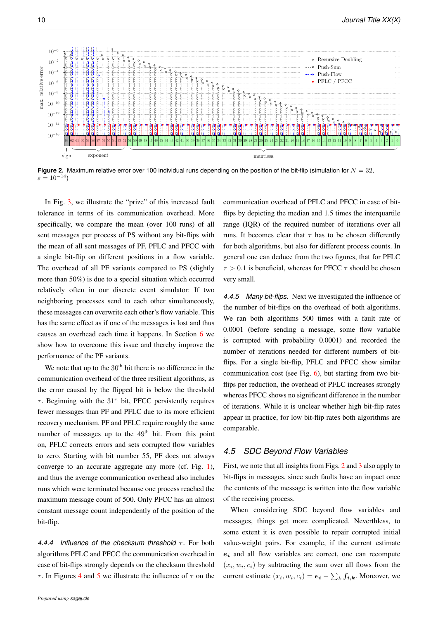<span id="page-9-2"></span>

**Figure 2.** Maximum relative error over 100 individual runs depending on the position of the bit-flip (simulation for  $N = 32$ ,  $\varepsilon = 10^{-14}$ 

In Fig. [3,](#page-10-1) we illustrate the "prize" of this increased fault tolerance in terms of its communication overhead. More specifically, we compare the mean (over 100 runs) of all sent messages per process of PS without any bit-flips with the mean of all sent messages of PF, PFLC and PFCC with a single bit-flip on different positions in a flow variable. The overhead of all PF variants compared to PS (slightly more than 50%) is due to a special situation which occurred relatively often in our discrete event simulator: If two neighboring processes send to each other simultaneously, these messages can overwrite each other's flow variable. This has the same effect as if one of the messages is lost and thus causes an overhead each time it happens. In Section [6](#page-13-0) we show how to overcome this issue and thereby improve the performance of the PF variants.

We note that up to the  $30<sup>th</sup>$  bit there is no difference in the communication overhead of the three resilient algorithms, as the error caused by the flipped bit is below the threshold  $\tau$ . Beginning with the 31<sup>st</sup> bit, PFCC persistently requires fewer messages than PF and PFLC due to its more efficient recovery mechanism. PF and PFLC require roughly the same number of messages up to the  $49<sup>th</sup>$  bit. From this point on, PFLC corrects errors and sets corrupted flow variables to zero. Starting with bit number 55, PF does not always converge to an accurate aggregate any more (cf. Fig. [1\)](#page-8-3), and thus the average communication overhead also includes runs which were terminated because one process reached the maximum message count of 500. Only PFCC has an almost constant message count independently of the position of the bit-flip.

<span id="page-9-1"></span>**4.4.4** Influence of the checksum threshold τ. For both algorithms PFLC and PFCC the communication overhead in case of bit-flips strongly depends on the checksum threshold  $\tau$ . In Figures [4](#page-10-2) and [5](#page-10-3) we illustrate the influence of  $\tau$  on the communication overhead of PFLC and PFCC in case of bitflips by depicting the median and 1.5 times the interquartile range (IQR) of the required number of iterations over all runs. It becomes clear that  $\tau$  has to be chosen differently for both algorithms, but also for different process counts. In general one can deduce from the two figures, that for PFLC  $\tau > 0.1$  is beneficial, whereas for PFCC  $\tau$  should be chosen very small.

*4.4.5 Many bit-flips.* Next we investigated the influence of the number of bit-flips on the overhead of both algorithms. We ran both algorithms 500 times with a fault rate of 0.0001 (before sending a message, some flow variable is corrupted with probability 0.0001) and recorded the number of iterations needed for different numbers of bitflips. For a single bit-flip, PFLC and PFCC show similar communication cost (see Fig. [6\)](#page-10-4), but starting from two bitflips per reduction, the overhead of PFLC increases strongly whereas PFCC shows no significant difference in the number of iterations. While it is unclear whether high bit-flip rates appear in practice, for low bit-flip rates both algorithms are comparable.

#### <span id="page-9-0"></span>*4.5 SDC Beyond Flow Variables*

First, we note that all insights from Figs. [2](#page-9-2) and [3](#page-10-1) also apply to bit-flips in messages, since such faults have an impact once the contents of the message is written into the flow variable of the receiving process.

When considering SDC beyond flow variables and messages, things get more complicated. Neverthless, to some extent it is even possible to repair corrupted initial value-weight pairs. For example, if the current estimate  $e_i$  and all flow variables are correct, one can recompute  $(x_i, w_i, c_i)$  by subtracting the sum over all flows from the current estimate  $(x_i, w_i, c_i) = e_i - \sum_k f_{i,k}$ . Moreover, we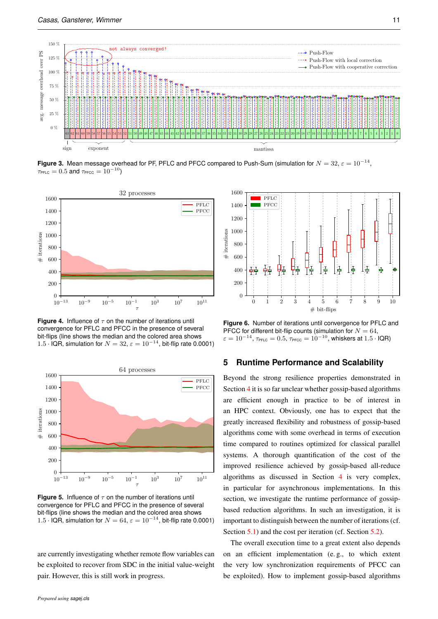<span id="page-10-1"></span>

**Figure 3.** Mean message overhead for PF, PFLC and PFCC compared to Push-Sum (simulation for  $N = 32$ ,  $\varepsilon = 10^{-14}$ ,  $\tau_{\texttt{PFLC}} = 0.5$  and  $\tau_{\texttt{PFCC}} = 10^{-10}$ )

<span id="page-10-2"></span>

**Figure 4.** Influence of  $\tau$  on the number of iterations until convergence for PFLC and PFCC in the presence of several bit-flips (line shows the median and the colored area shows 1.5 · IQR, simulation for  $N = 32$ ,  $\varepsilon = 10^{-14}$ , bit-flip rate 0.0001)

<span id="page-10-3"></span>

**Figure 5.** Influence of  $\tau$  on the number of iterations until convergence for PFLC and PFCC in the presence of several bit-flips (line shows the median and the colored area shows 1.5 · IQR, simulation for  $N = 64$ ,  $\varepsilon = 10^{-14}$ , bit-flip rate 0.0001)

are currently investigating whether remote flow variables can be exploited to recover from SDC in the initial value-weight pair. However, this is still work in progress.

<span id="page-10-4"></span>

**Figure 6.** Number of iterations until convergence for PFLC and PFCC for different bit-flip counts (simulation for  $N = 64$ ,  $\varepsilon=10^{-14}$ ,  $\tau_\texttt{PFLC}=0.5$ ,  $\tau_\texttt{PFCC}=10^{-10}$ , whiskers at  $1.5\cdot$  IQR)

#### <span id="page-10-0"></span>**5 Runtime Performance and Scalability**

Beyond the strong resilience properties demonstrated in Section [4](#page-6-0) it is so far unclear whether gossip-based algorithms are efficient enough in practice to be of interest in an HPC context. Obviously, one has to expect that the greatly increased flexibility and robustness of gossip-based algorithms come with some overhead in terms of execution time compared to routines optimized for classical parallel systems. A thorough quantification of the cost of the improved resilience achieved by gossip-based all-reduce algorithms as discussed in Section [4](#page-6-0) is very complex, in particular for asynchronous implementations. In this section, we investigate the runtime performance of gossipbased reduction algorithms. In such an investigation, it is important to distinguish between the number of iterations (cf. Section [5.1\)](#page-11-0) and the cost per iteration (cf. Section [5.2\)](#page-12-0).

The overall execution time to a great extent also depends on an efficient implementation (e. g., to which extent the very low synchronization requirements of PFCC can be exploited). How to implement gossip-based algorithms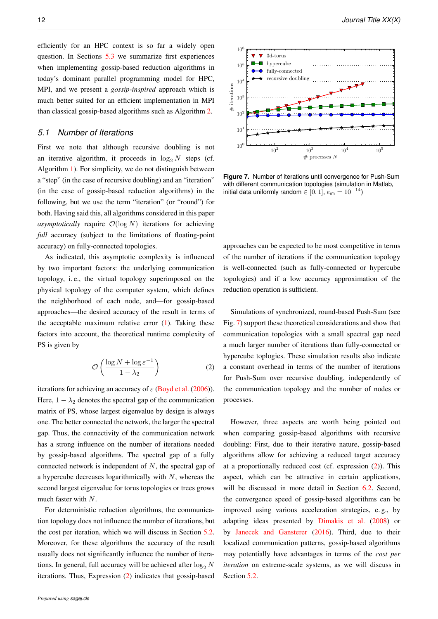efficiently for an HPC context is so far a widely open question. In Sections [5.3](#page-12-1) we summarize first experiences when implementing gossip-based reduction algorithms in today's dominant parallel programming model for HPC, MPI, and we present a *gossip-inspired* approach which is much better suited for an efficient implementation in MPI than classical gossip-based algorithms such as Algorithm [2.](#page-4-2)

# <span id="page-11-0"></span>*5.1 Number of Iterations*

First we note that although recursive doubling is not an iterative algorithm, it proceeds in  $\log_2 N$  steps (cf. Algorithm [1\)](#page-4-1). For simplicity, we do not distinguish between a "step" (in the case of recursive doubling) and an "iteration" (in the case of gossip-based reduction algorithms) in the following, but we use the term "iteration" (or "round") for both. Having said this, all algorithms considered in this paper *asymptotically* require  $\mathcal{O}(\log N)$  iterations for achieving *full* accuracy (subject to the limitations of floating-point accuracy) on fully-connected topologies.

As indicated, this asymptotic complexity is influenced by two important factors: the underlying communication topology, i. e., the virtual topology superimposed on the physical topology of the computer system, which defines the neighborhood of each node, and—for gossip-based approaches—the desired accuracy of the result in terms of the acceptable maximum relative error  $(1)$ . Taking these factors into account, the theoretical runtime complexity of PS is given by

<span id="page-11-1"></span>
$$
\mathcal{O}\left(\frac{\log N + \log \varepsilon^{-1}}{1 - \lambda_2}\right) \tag{2}
$$

iterations for achieving an accuracy of  $\varepsilon$  [\(Boyd et al.](#page-17-17) [\(2006\)](#page-17-17)). Here,  $1 - \lambda_2$  denotes the spectral gap of the communication matrix of PS, whose largest eigenvalue by design is always one. The better connected the network, the larger the spectral gap. Thus, the connectivity of the communication network has a strong influence on the number of iterations needed by gossip-based algorithms. The spectral gap of a fully connected network is independent of N, the spectral gap of a hypercube decreases logarithmically with N, whereas the second largest eigenvalue for torus topologies or trees grows much faster with N.

For deterministic reduction algorithms, the communication topology does not influence the number of iterations, but the cost per iteration, which we will discuss in Section [5.2.](#page-12-0) Moreover, for these algorithms the accuracy of the result usually does not significantly influence the number of iterations. In general, full accuracy will be achieved after  $\log_2 N$ iterations. Thus, Expression [\(2\)](#page-11-1) indicates that gossip-based

<span id="page-11-2"></span>

**Figure 7.** Number of iterations until convergence for Push-Sum with different communication topologies (simulation in Matlab, initial data uniformly random  $\in [0, 1]$ ,  $e_{\text{rm}} = 10^{-14}$ )

approaches can be expected to be most competitive in terms of the number of iterations if the communication topology is well-connected (such as fully-connected or hypercube topologies) and if a low accuracy approximation of the reduction operation is sufficient.

Simulations of synchronized, round-based Push-Sum (see Fig. [7\)](#page-11-2) support these theoretical considerations and show that communication topologies with a small spectral gap need a much larger number of iterations than fully-connected or hypercube toplogies. These simulation results also indicate a constant overhead in terms of the number of iterations for Push-Sum over recursive doubling, independently of the communication topology and the number of nodes or processes.

However, three aspects are worth being pointed out when comparing gossip-based algorithms with recursive doubling: First, due to their iterative nature, gossip-based algorithms allow for achieving a reduced target accuracy at a proportionally reduced cost (cf. expression [\(2\)](#page-11-1)). This aspect, which can be attractive in certain applications, will be discussed in more detail in Section [6.2.](#page-13-1) Second, the convergence speed of gossip-based algorithms can be improved using various acceleration strategies, e. g., by adapting ideas presented by [Dimakis et al.](#page-17-19) [\(2008\)](#page-17-19) or by [Janecek and Gansterer](#page-17-20) [\(2016\)](#page-17-20). Third, due to their localized communication patterns, gossip-based algorithms may potentially have advantages in terms of the *cost per iteration* on extreme-scale systems, as we will discuss in Section [5.2.](#page-12-0)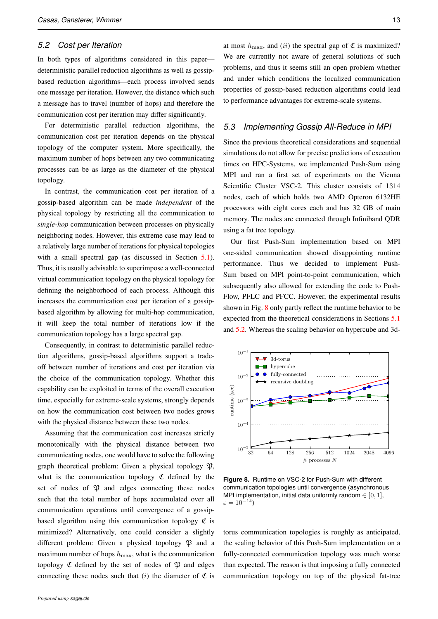#### <span id="page-12-0"></span>*5.2 Cost per Iteration*

In both types of algorithms considered in this paper deterministic parallel reduction algorithms as well as gossipbased reduction algorithms—each process involved sends one message per iteration. However, the distance which such a message has to travel (number of hops) and therefore the communication cost per iteration may differ significantly.

For deterministic parallel reduction algorithms, the communication cost per iteration depends on the physical topology of the computer system. More specifically, the maximum number of hops between any two communicating processes can be as large as the diameter of the physical topology.

In contrast, the communication cost per iteration of a gossip-based algorithm can be made *independent* of the physical topology by restricting all the communication to *single-hop* communication between processes on physically neighboring nodes. However, this extreme case may lead to a relatively large number of iterations for physical topologies with a small spectral gap (as discussed in Section [5.1\)](#page-11-0). Thus, it is usually advisable to superimpose a well-connected virtual communication topology on the physical topology for defining the neighborhood of each process. Although this increases the communication cost per iteration of a gossipbased algorithm by allowing for multi-hop communication, it will keep the total number of iterations low if the communication topology has a large spectral gap.

Consequently, in contrast to deterministic parallel reduction algorithms, gossip-based algorithms support a tradeoff between number of iterations and cost per iteration via the choice of the communication topology. Whether this capability can be exploited in terms of the overall execution time, especially for extreme-scale systems, strongly depends on how the communication cost between two nodes grows with the physical distance between these two nodes.

Assuming that the communication cost increases strictly monotonically with the physical distance between two communicating nodes, one would have to solve the following graph theoretical problem: Given a physical topology  $\mathfrak{P}$ , what is the communication topology  $C$  defined by the set of nodes of  $\mathfrak P$  and edges connecting these nodes such that the total number of hops accumulated over all communication operations until convergence of a gossipbased algorithm using this communication topology  $\mathfrak C$  is minimized? Alternatively, one could consider a slightly different problem: Given a physical topology  $\mathfrak P$  and a maximum number of hops  $h_{\text{max}}$ , what is the communication topology  $\mathfrak C$  defined by the set of nodes of  $\mathfrak P$  and edges connecting these nodes such that (i) the diameter of  $\mathfrak C$  is

at most  $h_{\text{max}}$ , and (ii) the spectral gap of  $\mathfrak C$  is maximized? We are currently not aware of general solutions of such problems, and thus it seems still an open problem whether and under which conditions the localized communication properties of gossip-based reduction algorithms could lead to performance advantages for extreme-scale systems.

#### <span id="page-12-1"></span>*5.3 Implementing Gossip All-Reduce in MPI*

Since the previous theoretical considerations and sequential simulations do not allow for precise predictions of execution times on HPC-Systems, we implemented Push-Sum using MPI and ran a first set of experiments on the Vienna Scientific Cluster VSC-2. This cluster consists of 1314 nodes, each of which holds two AMD Opteron 6132HE processors with eight cores each and has 32 GB of main memory. The nodes are connected through Infiniband QDR using a fat tree topology.

Our first Push-Sum implementation based on MPI one-sided communication showed disappointing runtime performance. Thus we decided to implement Push-Sum based on MPI point-to-point communication, which subsequently also allowed for extending the code to Push-Flow, PFLC and PFCC. However, the experimental results shown in Fig. [8](#page-12-2) only partly reflect the runtime behavior to be expected from the theoretical considerations in Sections [5.1](#page-11-0) and [5.2.](#page-12-0) Whereas the scaling behavior on hypercube and 3d-

<span id="page-12-2"></span>

**Figure 8.** Runtime on VSC-2 for Push-Sum with different communication topologies until convergence (asynchronous MPI implementation, initial data uniformly random  $\in$  [0, 1],  $\varepsilon = 10^{-14}$ 

torus communication topologies is roughly as anticipated, the scaling behavior of this Push-Sum implementation on a fully-connected communication topology was much worse than expected. The reason is that imposing a fully connected communication topology on top of the physical fat-tree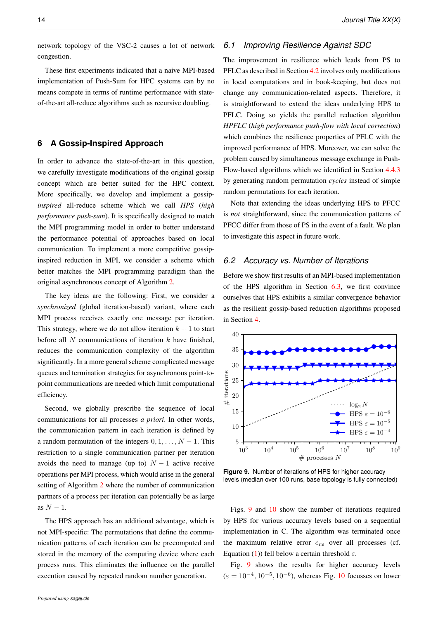network topology of the VSC-2 causes a lot of network congestion.

These first experiments indicated that a naive MPI-based implementation of Push-Sum for HPC systems can by no means compete in terms of runtime performance with stateof-the-art all-reduce algorithms such as recursive doubling.

#### <span id="page-13-0"></span>**6 A Gossip-Inspired Approach**

In order to advance the state-of-the-art in this question, we carefully investigate modifications of the original gossip concept which are better suited for the HPC context. More specifically, we develop and implement a gossip*inspired* all-reduce scheme which we call *HPS* (*high performance push-sum*). It is specifically designed to match the MPI programming model in order to better understand the performance potential of approaches based on local communication. To implement a more competitive gossipinspired reduction in MPI, we consider a scheme which better matches the MPI programming paradigm than the original asynchronous concept of Algorithm [2.](#page-4-2)

The key ideas are the following: First, we consider a *synchronized* (global iteration-based) variant, where each MPI process receives exactly one message per iteration. This strategy, where we do not allow iteration  $k + 1$  to start before all  $N$  communications of iteration  $k$  have finished, reduces the communication complexity of the algorithm significantly. In a more general scheme complicated message queues and termination strategies for asynchronous point-topoint communications are needed which limit computational efficiency.

Second, we globally prescribe the sequence of local communications for all processes *a priori*. In other words, the communication pattern in each iteration is defined by a random permutation of the integers  $0, 1, \ldots, N - 1$ . This restriction to a single communication partner per iteration avoids the need to manage (up to)  $N - 1$  active receive operations per MPI process, which would arise in the general setting of Algorithm [2](#page-4-2) where the number of communication partners of a process per iteration can potentially be as large as  $N-1$ .

The HPS approach has an additional advantage, which is not MPI-specific: The permutations that define the communication patterns of each iteration can be precomputed and stored in the memory of the computing device where each process runs. This eliminates the influence on the parallel execution caused by repeated random number generation.

#### *6.1 Improving Resilience Against SDC*

The improvement in resilience which leads from PS to PFLC as described in Section [4.2](#page-6-1) involves only modifications in local computations and in book-keeping, but does not change any communication-related aspects. Therefore, it is straightforward to extend the ideas underlying HPS to PFLC. Doing so yields the parallel reduction algorithm *HPFLC* (*high performance push-flow with local correction*) which combines the resilience properties of PFLC with the improved performance of HPS. Moreover, we can solve the problem caused by simultaneous message exchange in Push-Flow-based algorithms which we identified in Section [4.4.3](#page-8-2) by generating random permutation *cycles* instead of simple random permutations for each iteration.

Note that extending the ideas underlying HPS to PFCC is *not* straightforward, since the communication patterns of PFCC differ from those of PS in the event of a fault. We plan to investigate this aspect in future work.

# <span id="page-13-1"></span>*6.2 Accuracy vs. Number of Iterations*

Before we show first results of an MPI-based implementation of the HPS algorithm in Section  $6.3$ , we first convince ourselves that HPS exhibits a similar convergence behavior as the resilient gossip-based reduction algorithms proposed in Section [4.](#page-6-0)

<span id="page-13-2"></span>

**Figure 9.** Number of iterations of HPS for higher accuracy levels (median over 100 runs, base topology is fully connected)

Figs. [9](#page-13-2) and [10](#page-14-1) show the number of iterations required by HPS for various accuracy levels based on a sequential implementation in C. The algorithm was terminated once the maximum relative error  $e_{\rm rm}$  over all processes (cf. Equation [\(1\)](#page-8-4)) fell below a certain threshold  $\varepsilon$ .

Fig. [9](#page-13-2) shows the results for higher accuracy levels  $(\varepsilon = 10^{-4}, 10^{-5}, 10^{-6})$  $(\varepsilon = 10^{-4}, 10^{-5}, 10^{-6})$  $(\varepsilon = 10^{-4}, 10^{-5}, 10^{-6})$ , whereas Fig. 10 focusses on lower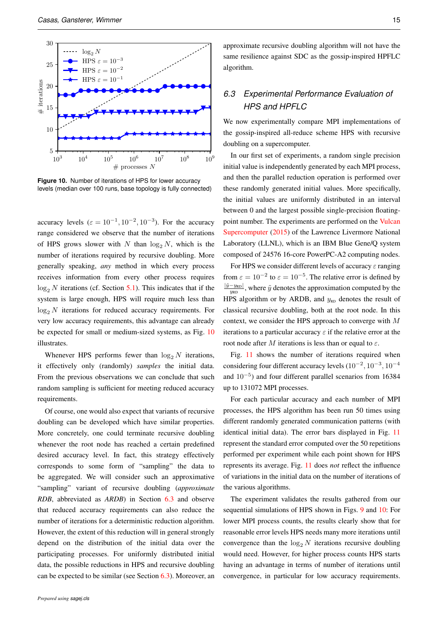<span id="page-14-1"></span>

**Figure 10.** Number of iterations of HPS for lower accuracy levels (median over 100 runs, base topology is fully connected)

accuracy levels  $(\varepsilon = 10^{-1}, 10^{-2}, 10^{-3})$ . For the accuracy range considered we observe that the number of iterations of HPS grows slower with N than  $\log_2 N$ , which is the number of iterations required by recursive doubling. More generally speaking, *any* method in which every process receives information from every other process requires  $log_2 N$  iterations (cf. Section [5.1\)](#page-11-0). This indicates that if the system is large enough, HPS will require much less than  $\log_2 N$  iterations for reduced accuracy requirements. For very low accuracy requirements, this advantage can already be expected for small or medium-sized systems, as Fig. [10](#page-14-1) illustrates.

Whenever HPS performs fewer than  $\log_2 N$  iterations, it effectively only (randomly) *samples* the initial data. From the previous observations we can conclude that such random sampling is sufficient for meeting reduced accuracy requirements.

Of course, one would also expect that variants of recursive doubling can be developed which have similar properties. More concretely, one could terminate recursive doubling whenever the root node has reached a certain predefined desired accuracy level. In fact, this strategy effectively corresponds to some form of "sampling" the data to be aggregated. We will consider such an approximative "sampling" variant of recursive doubling (*approximate RDB*, abbreviated as *ARDB*) in Section [6.3](#page-14-0) and observe that reduced accuracy requirements can also reduce the number of iterations for a deterministic reduction algorithm. However, the extent of this reduction will in general strongly depend on the distribution of the initial data over the participating processes. For uniformly distributed initial data, the possible reductions in HPS and recursive doubling can be expected to be similar (see Section [6.3\)](#page-14-0). Moreover, an

approximate recursive doubling algorithm will not have the same resilience against SDC as the gossip-inspired HPFLC algorithm.

# <span id="page-14-0"></span>*6.3 Experimental Performance Evaluation of HPS and HPFLC*

We now experimentally compare MPI implementations of the gossip-inspired all-reduce scheme HPS with recursive doubling on a supercomputer.

In our first set of experiments, a random single precision initial value is independently generated by each MPI process, and then the parallel reduction operation is performed over these randomly generated initial values. More specifically, the initial values are uniformly distributed in an interval between 0 and the largest possible single-precision floatingpoint number. The experiments are performed on the [Vulcan](#page-18-16) [Supercomputer](#page-18-16) [\(2015\)](#page-18-16) of the Lawrence Livermore National Laboratory (LLNL), which is an IBM Blue Gene/Q system composed of 24576 16-core PowerPC-A2 computing nodes.

For HPS we consider different levels of accuracy  $\varepsilon$  ranging from  $\varepsilon = 10^{-2}$  to  $\varepsilon = 10^{-5}$ . The relative error is defined by  $\frac{|\tilde{y}-y_{\text{RD}}|}{y_{\text{RD}}}$ , where  $\tilde{y}$  denotes the approximation computed by the HPS algorithm or by ARDB, and  $y_{RD}$  denotes the result of classical recursive doubling, both at the root node. In this context, we consider the HPS approach to converge with M iterations to a particular accuracy  $\varepsilon$  if the relative error at the root node after M iterations is less than or equal to  $\varepsilon$ .

Fig. [11](#page-15-0) shows the number of iterations required when considering four different accuracy levels  $(10^{-2}, 10^{-3}, 10^{-4}$ and 10−<sup>5</sup> ) and four different parallel scenarios from 16384 up to 131072 MPI processes.

For each particular accuracy and each number of MPI processes, the HPS algorithm has been run 50 times using different randomly generated communication patterns (with identical initial data). The error bars displayed in Fig. [11](#page-15-0) represent the standard error computed over the 50 repetitions performed per experiment while each point shown for HPS represents its average. Fig. [11](#page-15-0) does *not* reflect the influence of variations in the initial data on the number of iterations of the various algorithms.

The experiment validates the results gathered from our sequential simulations of HPS shown in Figs. [9](#page-13-2) and [10:](#page-14-1) For lower MPI process counts, the results clearly show that for reasonable error levels HPS needs many more iterations until convergence than the  $\log_2 N$  iterations recursive doubling would need. However, for higher process counts HPS starts having an advantage in terms of number of iterations until convergence, in particular for low accuracy requirements.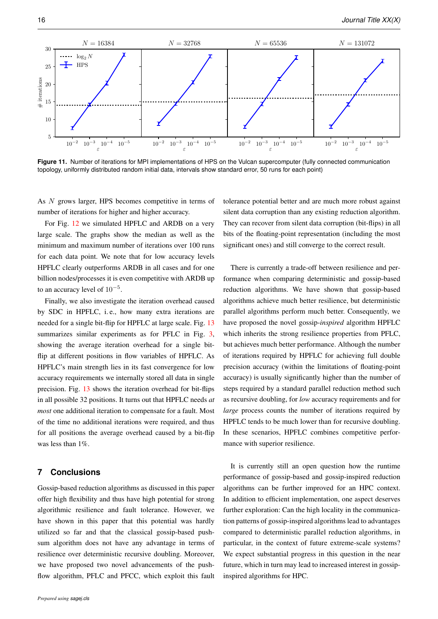<span id="page-15-0"></span>

**Figure 11.** Number of iterations for MPI implementations of HPS on the Vulcan supercomputer (fully connected communication topology, uniformly distributed random initial data, intervals show standard error, 50 runs for each point)

As N grows larger, HPS becomes competitive in terms of number of iterations for higher and higher accuracy.

For Fig. [12](#page-16-0) we simulated HPFLC and ARDB on a very large scale. The graphs show the median as well as the minimum and maximum number of iterations over 100 runs for each data point. We note that for low accuracy levels HPFLC clearly outperforms ARDB in all cases and for one billion nodes/processes it is even competitive with ARDB up to an accuracy level of  $10^{-5}$ .

Finally, we also investigate the iteration overhead caused by SDC in HPFLC, i. e., how many extra iterations are needed for a single bit-flip for HPFLC at large scale. Fig. [13](#page-16-1) summarizes similar experiments as for PFLC in Fig. [3,](#page-10-1) showing the average iteration overhead for a single bitflip at different positions in flow variables of HPFLC. As HPFLC's main strength lies in its fast convergence for low accuracy requirements we internally stored all data in single precision. Fig. [13](#page-16-1) shows the iteration overhead for bit-flips in all possible 32 positions. It turns out that HPFLC needs *at most* one additional iteration to compensate for a fault. Most of the time no additional iterations were required, and thus for all positions the average overhead caused by a bit-flip was less than 1%.

# **7 Conclusions**

Gossip-based reduction algorithms as discussed in this paper offer high flexibility and thus have high potential for strong algorithmic resilience and fault tolerance. However, we have shown in this paper that this potential was hardly utilized so far and that the classical gossip-based pushsum algorithm does not have any advantage in terms of resilience over deterministic recursive doubling. Moreover, we have proposed two novel advancements of the pushflow algorithm, PFLC and PFCC, which exploit this fault

tolerance potential better and are much more robust against silent data corruption than any existing reduction algorithm. They can recover from silent data corruption (bit-flips) in all bits of the floating-point representation (including the most significant ones) and still converge to the correct result.

There is currently a trade-off between resilience and performance when comparing deterministic and gossip-based reduction algorithms. We have shown that gossip-based algorithms achieve much better resilience, but deterministic parallel algorithms perform much better. Consequently, we have proposed the novel gossip-*inspired* algorithm HPFLC which inherits the strong resilience properties from PFLC, but achieves much better performance. Although the number of iterations required by HPFLC for achieving full double precision accuracy (within the limitations of floating-point accuracy) is usually significantly higher than the number of steps required by a standard parallel reduction method such as recursive doubling, for *low* accuracy requirements and for *large* process counts the number of iterations required by HPFLC tends to be much lower than for recursive doubling. In these scenarios, HPFLC combines competitive performance with superior resilience.

It is currently still an open question how the runtime performance of gossip-based and gossip-inspired reduction algorithms can be further improved for an HPC context. In addition to efficient implementation, one aspect deserves further exploration: Can the high locality in the communication patterns of gossip-inspired algorithms lead to advantages compared to deterministic parallel reduction algorithms, in particular, in the context of future extreme-scale systems? We expect substantial progress in this question in the near future, which in turn may lead to increased interest in gossipinspired algorithms for HPC.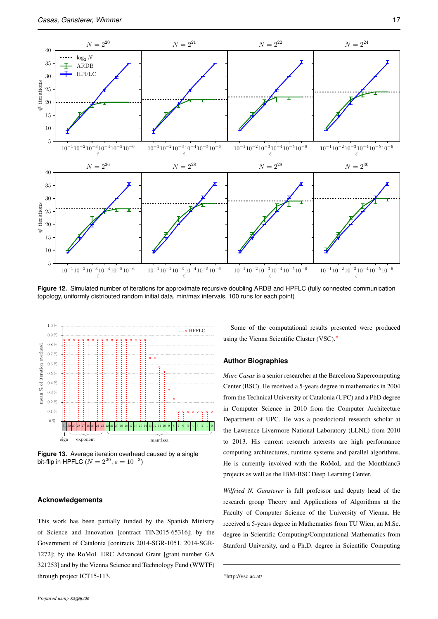<span id="page-16-0"></span>

**Figure 12.** Simulated number of iterations for approximate recursive doubling ARDB and HPFLC (fully connected communication topology, uniformly distributed random initial data, min/max intervals, 100 runs for each point)

<span id="page-16-1"></span>

**Figure 13.** Average iteration overhead caused by a single bit-flip in HPFLC ( $N=2^{20}$ ,  $\varepsilon=10^{-3}$ )

#### **Acknowledgements**

This work has been partially funded by the Spanish Ministry of Science and Innovation [contract TIN2015-65316]; by the Government of Catalonia [contracts 2014-SGR-1051, 2014-SGR-1272]; by the RoMoL ERC Advanced Grant [grant number GA 321253] and by the Vienna Science and Technology Fund (WWTF) through project ICT15-113.

Some of the computational results presented were produced using the Vienna Scientific Cluster (VSC).[∗](#page-16-2)

#### **Author Biographies**

*Marc Casas* is a senior researcher at the Barcelona Supercomputing Center (BSC). He received a 5-years degree in mathematics in 2004 from the Technical University of Catalonia (UPC) and a PhD degree in Computer Science in 2010 from the Computer Architecture Department of UPC. He was a postdoctoral research scholar at the Lawrence Livermore National Laboratory (LLNL) from 2010 to 2013. His current research interests are high performance computing architectures, runtime systems and parallel algorithms. He is currently involved with the RoMoL and the Montblanc3 projects as well as the IBM-BSC Deep Learning Center.

*Wilfried N. Gansterer* is full professor and deputy head of the research group Theory and Applications of Algorithms at the Faculty of Computer Science of the University of Vienna. He received a 5-years degree in Mathematics from TU Wien, an M.Sc. degree in Scientific Computing/Computational Mathematics from Stanford University, and a Ph.D. degree in Scientific Computing

```
∗http://vsc.ac.at/
```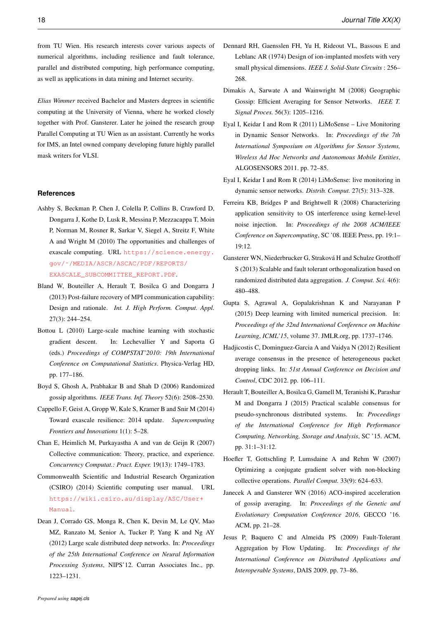from TU Wien. His research interests cover various aspects of numerical algorithms, including resilience and fault tolerance, parallel and distributed computing, high performance computing, as well as applications in data mining and Internet security.

*Elias Wimmer* received Bachelor and Masters degrees in scientific computing at the University of Vienna, where he worked closely together with Prof. Gansterer. Later he joined the research group Parallel Computing at TU Wien as an assistant. Currently he works for IMS, an Intel owned company developing future highly parallel mask writers for VLSI.

#### <span id="page-17-0"></span>**References**

- <span id="page-17-12"></span>Ashby S, Beckman P, Chen J, Colella P, Collins B, Crawford D, Dongarra J, Kothe D, Lusk R, Messina P, Mezzacappa T, Moin P, Norman M, Rosner R, Sarkar V, Siegel A, Streitz F, White A and Wright M (2010) The opportunities and challenges of exascale computing. URL [https://science.energy.](https://science.energy.gov/~/MEDIA/ASCR/ASCAC/PDF/REPORTS/EXASCALE_SUBCOMMITTEE_REPORT.PDF) [gov/˜/MEDIA/ASCR/ASCAC/PDF/REPORTS/](https://science.energy.gov/~/MEDIA/ASCR/ASCAC/PDF/REPORTS/EXASCALE_SUBCOMMITTEE_REPORT.PDF) [EXASCALE\\_SUBCOMMITTEE\\_REPORT.PDF](https://science.energy.gov/~/MEDIA/ASCR/ASCAC/PDF/REPORTS/EXASCALE_SUBCOMMITTEE_REPORT.PDF).
- <span id="page-17-8"></span>Bland W, Bouteiller A, Herault T, Bosilca G and Dongarra J (2013) Post-failure recovery of MPI communication capability: Design and rationale. *Int. J. High Perform. Comput. Appl.* 27(3): 244–254.
- <span id="page-17-5"></span>Bottou L (2010) Large-scale machine learning with stochastic gradient descent. In: Lechevallier Y and Saporta G (eds.) *Proceedings of COMPSTAT'2010: 19th International Conference on Computational Statistics*. Physica-Verlag HD, pp. 177–186.
- <span id="page-17-17"></span>Boyd S, Ghosh A, Prabhakar B and Shah D (2006) Randomized gossip algorithms. *IEEE Trans. Inf. Theory* 52(6): 2508–2530.
- <span id="page-17-11"></span>Cappello F, Geist A, Gropp W, Kale S, Kramer B and Snir M (2014) Toward exascale resilience: 2014 update. *Supercomputing Frontiers and Innovations* 1(1): 5–28.
- <span id="page-17-13"></span>Chan E, Heimlich M, Purkayastha A and van de Geijn R (2007) Collective communication: Theory, practice, and experience. *Concurrency Computat.: Pract. Exper.* 19(13): 1749–1783.
- <span id="page-17-18"></span>Commonwealth Scientific and Industrial Research Organization (CSIRO) (2014) Scientific computing user manual. URL [https://wiki.csiro.au/display/ASC/User+](https://wiki.csiro.au/display/ASC/User+Manual) [Manual](https://wiki.csiro.au/display/ASC/User+Manual).
- <span id="page-17-4"></span>Dean J, Corrado GS, Monga R, Chen K, Devin M, Le QV, Mao MZ, Ranzato M, Senior A, Tucker P, Yang K and Ng AY (2012) Large scale distributed deep networks. In: *Proceedings of the 25th International Conference on Neural Information Processing Systems*, NIPS'12. Curran Associates Inc., pp. 1223–1231.
- <span id="page-17-1"></span>Dennard RH, Gaensslen FH, Yu H, Rideout VL, Bassous E and Leblanc AR (1974) Design of ion-implanted mosfets with very small physical dimensions. *IEEE J. Solid-State Circuits* : 256– 268.
- <span id="page-17-19"></span>Dimakis A, Sarwate A and Wainwright M (2008) Geographic Gossip: Efficient Averaging for Sensor Networks. *IEEE T. Signal Proces.* 56(3): 1205–1216.
- <span id="page-17-14"></span>Eyal I, Keidar I and Rom R (2011) LiMoSense – Live Monitoring in Dynamic Sensor Networks. In: *Proceedings of the 7th International Symposium on Algorithms for Sensor Systems, Wireless Ad Hoc Networks and Autonomous Mobile Entities*, ALGOSENSORS 2011. pp. 72–85.
- <span id="page-17-9"></span>Eyal I, Keidar I and Rom R (2014) LiMoSense: live monitoring in dynamic sensor networks. *Distrib. Comput.* 27(5): 313–328.
- <span id="page-17-2"></span>Ferreira KB, Bridges P and Brightwell R (2008) Characterizing application sensitivity to OS interference using kernel-level noise injection. In: *Proceedings of the 2008 ACM/IEEE Conference on Supercomputing*, SC '08. IEEE Press, pp. 19:1– 19:12.
- <span id="page-17-10"></span>Gansterer WN, Niederbrucker G, Strakova H and Schulze Grotthoff ´ S (2013) Scalable and fault tolerant orthogonalization based on randomized distributed data aggregation. *J. Comput. Sci.* 4(6): 480–488.
- <span id="page-17-6"></span>Gupta S, Agrawal A, Gopalakrishnan K and Narayanan P (2015) Deep learning with limited numerical precision. In: *Proceedings of the 32nd International Conference on Machine Learning*, *ICML'15*, volume 37. JMLR.org, pp. 1737–1746.
- <span id="page-17-15"></span>Hadjicostis C, Dominguez-Garcia A and Vaidya N (2012) Resilient average consensus in the presence of heterogeneous packet dropping links. In: *51st Annual Conference on Decision and Control*, CDC 2012. pp. 106–111.
- <span id="page-17-3"></span>Herault T, Bouteiller A, Bosilca G, Gamell M, Teranishi K, Parashar M and Dongarra J (2015) Practical scalable consensus for pseudo-synchronous distributed systems. In: *Proceedings of the International Conference for High Performance Computing, Networking, Storage and Analysis*, SC '15. ACM, pp. 31:1–31:12.
- <span id="page-17-7"></span>Hoefler T, Gottschling P, Lumsdaine A and Rehm W (2007) Optimizing a conjugate gradient solver with non-blocking collective operations. *Parallel Comput.* 33(9): 624–633.
- <span id="page-17-20"></span>Janecek A and Gansterer WN (2016) ACO-inspired acceleration of gossip averaging. In: *Proceedings of the Genetic and Evolutionary Computation Conference 2016*, GECCO '16. ACM, pp. 21–28.
- <span id="page-17-16"></span>Jesus P, Baquero C and Almeida PS (2009) Fault-Tolerant Aggregation by Flow Updating. In: *Proceedings of the International Conference on Distributed Applications and Interoperable Systems*, DAIS 2009. pp. 73–86.